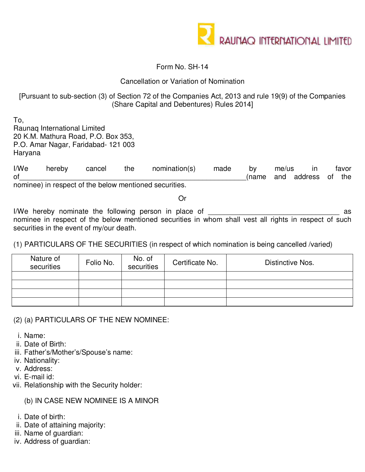

### Form No. SH-14

### Cancellation or Variation of Nomination

# [Pursuant to sub-section (3) of Section 72 of the Companies Act, 2013 and rule 19(9) of the Companies (Share Capital and Debentures) Rules 2014]

To, Raunaq International Limited 20 K.M. Mathura Road, P.O. Box 353, P.O. Amar Nagar, Faridabad- 121 003 Haryana

I/We hereby cancel the nomination(s) made by me/us in favor of the contract of the contract of the contract of the contract of the contract of the contract of the contract of the contract of the contract of the contract of the contract of the contract of the contract of the contrac nominee) in respect of the below mentioned securities.

Or

I/We hereby nominate the following person in place of \_\_\_\_\_\_\_\_\_\_\_\_\_\_\_\_\_\_\_\_\_\_\_\_\_\_\_\_\_\_\_\_\_ as nominee in respect of the below mentioned securities in whom shall vest all rights in respect of such securities in the event of my/our death.

# (1) PARTICULARS OF THE SECURITIES (in respect of which nomination is being cancelled /varied)

| Nature of<br>securities | Folio No. | No. of<br>securities | Certificate No. | Distinctive Nos. |
|-------------------------|-----------|----------------------|-----------------|------------------|
|                         |           |                      |                 |                  |
|                         |           |                      |                 |                  |
|                         |           |                      |                 |                  |
|                         |           |                      |                 |                  |

(2) (a) PARTICULARS OF THE NEW NOMINEE:

i. Name:

ii. Date of Birth:

iii. Father's/Mother's/Spouse's name:

iv. Nationality:

v. Address:

vi. E-mail id:

vii. Relationship with the Security holder:

# (b) IN CASE NEW NOMINEE IS A MINOR

i. Date of birth:

- ii. Date of attaining majority:
- iii. Name of guardian:
- iv. Address of guardian: